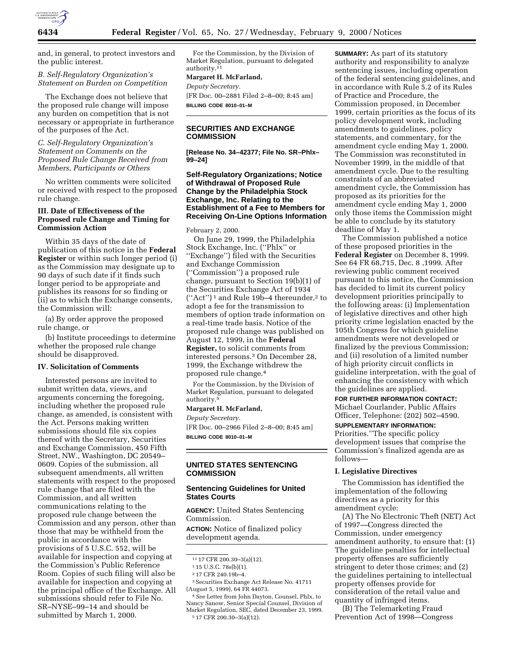

and, in general, to protect investors and the public interest.

## *B. Self-Regulatory Organization's Statement on Burden on Competition*

The Exchange does not believe that the proposed rule change will impose any burden on competition that is not necessary or appropriate in furtherance of the purposes of the Act.

## *C. Self-Regulatory Organization's Statement on Comments on the Proposed Rule Change Received from Members, Participants or Others*

No written comments were solicited or received with respect to the proposed rule change.

### **III. Date of Effectiveness of the Proposed rule Change and Timing for Commission Action**

Within 35 days of the date of publication of this notice in the **Federal Register** or within such longer period (i) as the Commission may designate up to 90 days of such date if it finds such longer period to be appropriate and publishes its reasons for so finding or (ii) as to which the Exchange consents, the Commission will:

(a) By order approve the proposed rule change, or

(b) Institute proceedings to determine whether the proposed rule change should be disapproved.

#### **IV. Solicitation of Comments**

Interested persons are invited to submit written data, views, and arguments concerning the foregoing, including whether the proposed rule change, as amended, is consistent with the Act. Persons making written submissions should file six copies thereof with the Secretary, Securities and Exchange Commission, 450 Fifth Street, NW., Washington, DC 20549– 0609. Copies of the submission, all subsequent amendments, all written statements with respect to the proposed rule change that are filed with the Commission, and all written communications relating to the proposed rule change between the Commission and any person, other than those that may be withheld from the public in accordance with the provisions of 5 U.S.C. 552, will be available for inspection and copying at the Commission's Public Reference Room. Copies of such filing will also be available for inspection and copying at the principal office of the Exchange. All submissions should refer to File No. SR–NYSE–99–14 and should be submitted by March 1, 2000.

For the Commission, by the Division of Market Regulation, pursuant to delegated authority.11

#### **Margaret H. McFarland,**

*Deputy Secretary.* [FR Doc. 00–2881 Filed 2–8–00; 8:45 am] **BILLING CODE 8010–01–M**

# **SECURITIES AND EXCHANGE COMMISSION**

**[Release No. 34–42377; File No. SR–Phlx– 99–24]**

# **Self-Regulatory Organizations; Notice of Withdrawal of Proposed Rule Change by the Philadelphia Stock Exchange, Inc. Relating to the Establishment of a Fee to Members for Receiving On-Line Options Information**

#### February 2, 2000.

On June 29, 1999, the Philadelphia Stock Exchange, Inc. (''Phlx'' or ''Exchange'') filed with the Securities and Exchange Commission (''Commission'') a proposed rule change, pursuant to Section 19(b)(1) of the Securities Exchange Act of 1934  $("Act")^1$  and Rule 19b-4 thereunder,<sup>2</sup> to adopt a fee for the transmission to members of option trade information on a real-time trade basis. Notice of the proposed rule change was published on August 12, 1999, in the **Federal Register,** to solicit comments from interested persons.3 On December 28, 1999, the Exchange withdrew the proposed rule change.4

For the Commission, by the Division of Market Regulation, pursuant to delegated authority.5

### **Margaret H. McFarland,**

*Deputy Secretary.* [FR Doc. 00–2966 Filed 2–8–00; 8:45 am] **BILLING CODE 8010–01–M**

# **UNITED STATES SENTENCING COMMISSION**

## **Sentencing Guidelines for United States Courts**

**AGENCY:** United States Sentencing Commission.

**ACTION:** Notice of finalized policy development agenda.

3Securities Exchange Act Release No. 41711 (August 5, 1999), 64 FR 44073.

4*See* Letter from John Dayton, Counsel, Phlx, to Nancy Sanow, Senior Special Counsel, Division of Market Regulation, SEC, dated December 23, 1999. 5 17 CFR 200.30–3(a)(12).

**SUMMARY:** As part of its statutory authority and responsibility to analyze sentencing issues, including operation of the federal sentencing guidelines, and in accordance with Rule 5.2 of its Rules of Practice and Procedure, the Commission proposed, in December 1999, certain priorities as the focus of its policy development work, including amendments to guidelines, policy statements, and commentary, for the amendment cycle ending May 1, 2000. The Commission was reconstituted in November 1999, in the middle of that amendment cycle. Due to the resulting constraints of an abbreviated amendment cycle, the Commission has proposed as its priorities for the amendment cycle ending May 1, 2000 only those items the Commission might be able to conclude by its statutory deadline of May 1.

The Commission published a notice of these proposed priorities in the **Federal Register** on December 8, 1999. See 64 FR 68,715, Dec. 8 ,1999. After reviewing public comment received pursuant to this notice, the Commission has decided to limit its current policy development priorities principally to the following areas: (i) Implementation of legislative directives and other high priority crime legislation enacted by the 105th Congress for which guideline amendments were not developed or finalized by the previous Commission; and (ii) resolution of a limited number of high priority circuit conflicts in guideline interpretation, with the goal of enhancing the consistency with which the guidelines are applied.

# **FOR FURTHER INFORMATION CONTACT:**

Michael Courlander, Public Affairs Officer, Telephone: (202) 502–4590.

# **SUPPLEMENTARY INFORMATION:**

Priorities.''The specific policy development issues that comprise the Commission's finalized agenda are as follows—

## **I. Legislative Directives**

The Commission has identified the implementation of the following directives as a priority for this amendment cycle:

(A) The No Electronic Theft (NET) Act of 1997—Congress directed the Commission, under emergency amendment authority, to ensure that: (1) The guideline penalties for intellectual property offenses are sufficiently stringent to deter those crimes; and (2) the guidelines pertaining to intellectual property offenses provide for consideration of the retail value and quantity of infringed items.

(B) The Telemarketing Fraud Prevention Act of 1998—Congress

<sup>11</sup> 17 CFR 200.30–3(a)(12).

<sup>1</sup> 15 U.S.C. 78s(b)(1).

<sup>2</sup> 17 CFR 240.19b–4.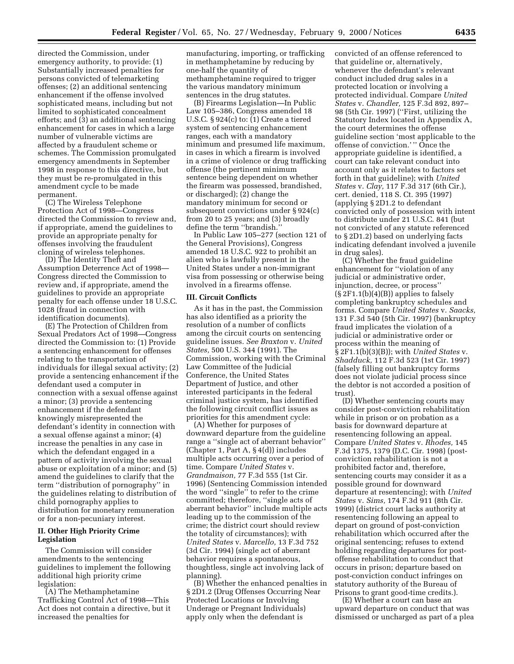directed the Commission, under emergency authority, to provide: (1) Substantially increased penalties for persons convicted of telemarketing offenses; (2) an additional sentencing enhancement if the offense involved sophisticated means, including but not limited to sophisticated concealment efforts; and (3) an additional sentencing enhancement for cases in which a large number of vulnerable victims are affected by a fraudulent scheme or schemes. The Commission promulgated emergency amendments in September 1998 in response to this directive, but they must be re-promulgated in this amendment cycle to be made permanent.

(C) The Wireless Telephone Protection Act of 1998—Congress directed the Commission to review and, if appropriate, amend the guidelines to provide an appropriate penalty for offenses involving the fraudulent cloning of wireless telephones.

(D) The Identity Theft and Assumption Deterrence Act of 1998— Congress directed the Commission to review and, if appropriate, amend the guidelines to provide an appropriate penalty for each offense under 18 U.S.C. 1028 (fraud in connection with identification documents).

(E) The Protection of Children from Sexual Predators Act of 1998—Congress directed the Commission to: (1) Provide a sentencing enhancement for offenses relating to the transportation of individuals for illegal sexual activity; (2) provide a sentencing enhancement if the defendant used a computer in connection with a sexual offense against a minor; (3) provide a sentencing enhancement if the defendant knowingly misrepresented the defendant's identity in connection with a sexual offense against a minor; (4) increase the penalties in any case in which the defendant engaged in a pattern of activity involving the sexual abuse or exploitation of a minor; and (5) amend the guidelines to clarify that the term ''distribution of pornography'' in the guidelines relating to distribution of child pornography applies to distribution for monetary remuneration or for a non-pecuniary interest.

# **II. Other High Priority Crime Legislation**

The Commission will consider amendments to the sentencing guidelines to implement the following additional high priority crime legislation:

(A) The Methamphetamine Trafficking Control Act of 1998—This Act does not contain a directive, but it increased the penalties for

manufacturing, importing, or trafficking in methamphetamine by reducing by one-half the quantity of methamphetamine required to trigger the various mandatory minimum sentences in the drug statutes.

(B) Firearms Legislation—In Public Law 105–386, Congress amended 18 U.S.C. § 924(c) to: (1) Create a tiered system of sentencing enhancement ranges, each with a mandatory minimum and presumed life maximum, in cases in which a firearm is involved in a crime of violence or drug trafficking offense (the pertinent minimum sentence being dependent on whether the firearm was possessed, brandished, or discharged); (2) change the mandatory minimum for second or subsequent convictions under § 924(c) from 20 to 25 years; and (3) broadly define the term ''brandish.''

In Public Law 105–277 (section 121 of the General Provisions), Congress amended 18 U.S.C. 922 to prohibit an alien who is lawfully present in the United States under a non-immigrant visa from possessing or otherwise being involved in a firearms offense.

#### **III. Circuit Conflicts**

As it has in the past, the Commission has also identified as a priority the resolution of a number of conflicts among the circuit courts on sentencing guideline issues. *See Braxton* v. *United States,* 500 U.S. 344 (1991). The Commission, working with the Criminal Law Committee of the Judicial Conference, the United States Department of Justice, and other interested participants in the federal criminal justice system, has identified the following circuit conflict issues as priorities for this amendment cycle:

(A) Whether for purposes of downward departure from the guideline range a ''single act of aberrant behavior'' (Chapter 1, Part A, § 4(d)) includes multiple acts occurring over a period of time. Compare *United States* v. *Grandmaison,* 77 F.3d 555 (1st Cir. 1996) (Sentencing Commission intended the word ''single'' to refer to the crime committed; therefore, ''single acts of aberrant behavior'' include multiple acts leading up to the commission of the crime; the district court should review the totality of circumstances); with *United States* v. *Marcello,* 13 F.3d 752 (3d Cir. 1994) (single act of aberrant behavior requires a spontaneous, thoughtless, single act involving lack of planning).

(B) Whether the enhanced penalties in § 2D1.2 (Drug Offenses Occurring Near Protected Locations or Involving Underage or Pregnant Individuals) apply only when the defendant is

convicted of an offense referenced to that guideline or, alternatively, whenever the defendant's relevant conduct included drug sales in a protected location or involving a protected individual. Compare *United States* v. *Chandler,* 125 F.3d 892, 897– 98 (5th Cir. 1997) (''First, utilizing the Statutory Index located in Appendix A, the court determines the offense guideline section 'most applicable to the offense of conviction.' '' Once the appropriate guideline is identified, a court can take relevant conduct into account only as it relates to factors set forth in that guideline); with *United States* v. *Clay,* 117 F.3d 317 (6th Cir.), cert. denied, 118 S. Ct. 395 (1997) (applying § 2D1.2 to defendant convicted only of possession with intent to distribute under 21 U.S.C. 841 (but not convicted of any statute referenced to § 2D1.2) based on underlying facts indicating defendant involved a juvenile in drug sales).

(C) Whether the fraud guideline enhancement for ''violation of any judicial or administrative order, injunction, decree, or process''  $(S 2F1.1(b)(4)(B))$  applies to falsely completing bankruptcy schedules and forms. Compare *United States* v. *Saacks,* 131 F.3d 540 (5th Cir. 1997) (bankruptcy fraud implicates the violation of a judicial or administrative order or process within the meaning of § 2F1.1(b)(3)(B)); with *United States* v. *Shadduck,* 112 F.3d 523 (1st Cir. 1997) (falsely filling out bankruptcy forms does not violate judicial process since the debtor is not accorded a position of trust).

(D) Whether sentencing courts may consider post-conviction rehabilitation while in prison or on probation as a basis for downward departure at resentencing following an appeal. Compare *United States* v. *Rhodes,* 145 F.3d 1375, 1379 (D.C. Cir. 1998) (postconviction rehabilitation is not a prohibited factor and, therefore, sentencing courts may consider it as a possible ground for downward departure at resentencing); with *United States* v. *Sims,* 174 F.3d 911 (8th Cir. 1999) (district court lacks authority at resentencing following an appeal to depart on ground of post-conviction rehabilitation which occurred after the original sentencing; refuses to extend holding regarding departures for postoffense rehabilitation to conduct that occurs in prison; departure based on post-conviction conduct infringes on statutory authority of the Bureau of Prisons to grant good-time credits.).

(E) Whether a court can base an upward departure on conduct that was dismissed or uncharged as part of a plea